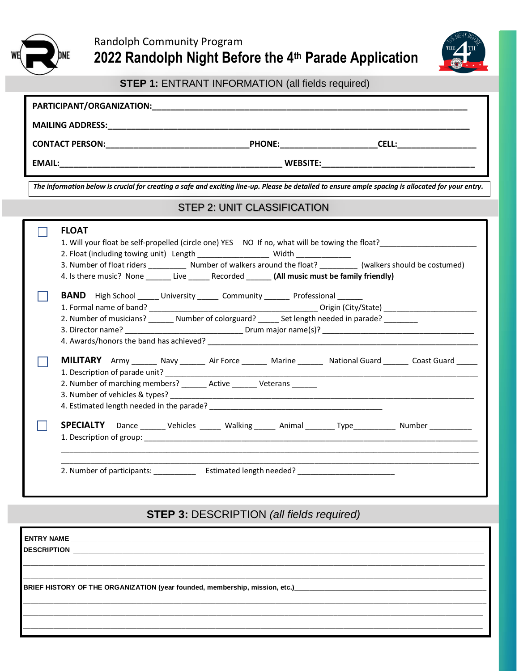



**STEP 1:** ENTRANT INFORMATION (all fields required)

| The information below is crucial for creating a safe and exciting line-up. Please be detailed to ensure ample spacing is allocated for your entry.<br><b>STEP 2: UNIT CLASSIFICATION</b> |                                                                                                                                                                                      |  |
|------------------------------------------------------------------------------------------------------------------------------------------------------------------------------------------|--------------------------------------------------------------------------------------------------------------------------------------------------------------------------------------|--|
|                                                                                                                                                                                          |                                                                                                                                                                                      |  |
|                                                                                                                                                                                          | <b>BAND</b> High School ______ University ______ Community _______ Professional ______                                                                                               |  |
|                                                                                                                                                                                          | 2. Number of musicians? _______ Number of colorguard? ______ Set length needed in parade? _________                                                                                  |  |
|                                                                                                                                                                                          | MILITARY Army _______ Navy _______ Air Force _______ Marine _______ National Guard ______ Coast Guard _____<br>2. Number of marching members? _______ Active _______ Veterans ______ |  |

# **STEP 3:** DESCRIPTION *(all fields required)*

| ENTRY NAME                                                                                                     |  |
|----------------------------------------------------------------------------------------------------------------|--|
| <b>DESCRIPTION</b><br><u> 1980 - Andrea Andrewski, fransk politik (d. 1980)</u>                                |  |
|                                                                                                                |  |
| BRIEF HISTORY OF THE ORGANIZATION (year founded, membership, mission, etc.)___________________________________ |  |
|                                                                                                                |  |
|                                                                                                                |  |